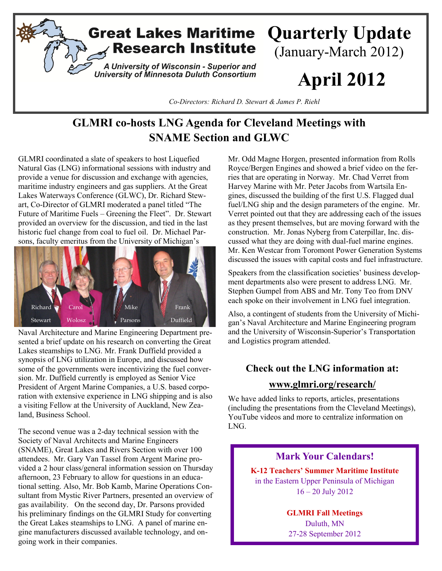

# **GLMRI co-hosts LNG Agenda for Cleveland Meetings with SNAME Section and GLWC**

GLMRI coordinated a slate of speakers to host Liquefied Natural Gas (LNG) informational sessions with industry and provide a venue for discussion and exchange with agencies, maritime industry engineers and gas suppliers. At the Great Lakes Waterways Conference (GLWC), Dr. Richard Stewart, Co-Director of GLMRI moderated a panel titled "The Future of Maritime Fuels – Greening the Fleet". Dr. Stewart provided an overview for the discussion, and tied in the last historic fuel change from coal to fuel oil. Dr. Michael Parsons, faculty emeritus from the University of Michigan's



Naval Architecture and Marine Engineering Department presented a brief update on his research on converting the Great Lakes steamships to LNG. Mr. Frank Duffield provided a synopsis of LNG utilization in Europe, and discussed how some of the governments were incentivizing the fuel conversion. Mr. Duffield currently is employed as Senior Vice President of Argent Marine Companies, a U.S. based corporation with extensive experience in LNG shipping and is also a visiting Fellow at the University of Auckland, New Zealand, Business School.

The second venue was a 2-day technical session with the Society of Naval Architects and Marine Engineers (SNAME), Great Lakes and Rivers Section with over 100 attendees. Mr. Gary Van Tassel from Argent Marine provided a 2 hour class/general information session on Thursday afternoon, 23 February to allow for questions in an educational setting. Also, Mr. Bob Kamb, Marine Operations Consultant from Mystic River Partners, presented an overview of gas availability. On the second day, Dr. Parsons provided his preliminary findings on the GLMRI Study for converting the Great Lakes steamships to LNG. A panel of marine engine manufacturers discussed available technology, and ongoing work in their companies.

Mr. Odd Magne Horgen, presented information from Rolls Royce/Bergen Engines and showed a brief video on the ferries that are operating in Norway. Mr. Chad Verret from Harvey Marine with Mr. Peter Jacobs from Wartsila Engines, discussed the building of the first U.S. Flagged dual fuel/LNG ship and the design parameters of the engine. Mr. Verret pointed out that they are addressing each of the issues as they present themselves, but are moving forward with the construction. Mr. Jonas Nyberg from Caterpillar, Inc. discussed what they are doing with dual-fuel marine engines. Mr. Ken Westcar from Toromont Power Generation Systems discussed the issues with capital costs and fuel infrastructure.

Speakers from the classification societies' business development departments also were present to address LNG. Mr. Stephen Gumpel from ABS and Mr. Tony Teo from DNV each spoke on their involvement in LNG fuel integration.

Also, a contingent of students from the University of Michigan's Naval Architecture and Marine Engineering program and the University of Wisconsin-Superior's Transportation and Logistics program attended.

### **Check out the LNG information at:**

### **[www.glmri.org/research/](http://www.glmri.org/research/)**

We have added links to reports, articles, presentations (including the presentations from the Cleveland Meetings), YouTube videos and more to centralize information on LNG.

# **Mark Your Calendars! K-12 Teachers' Summer Maritime Institute** in the Eastern Upper Peninsula of Michigan 16 – 20 July 2012

**GLMRI Fall Meetings**  Duluth, MN

27-28 September 2012